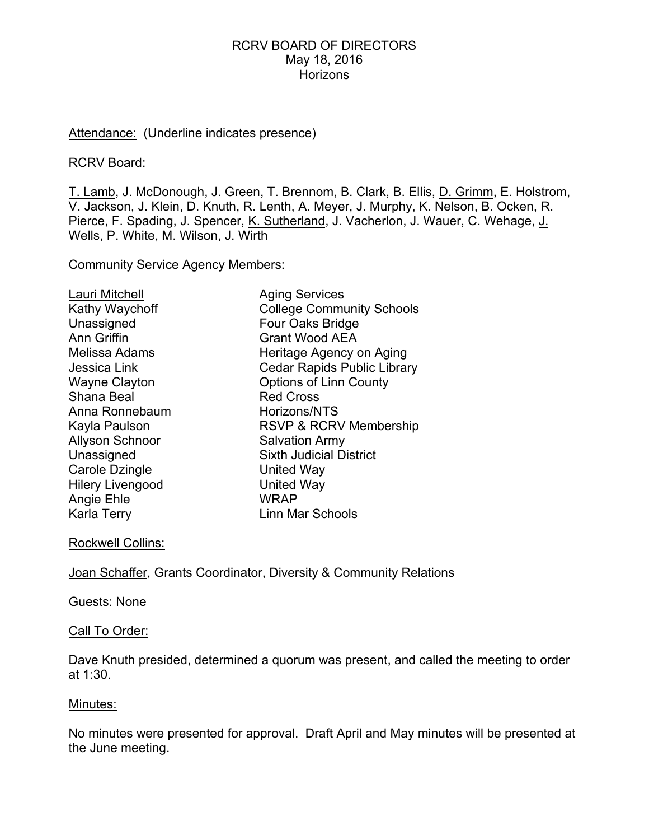### RCRV BOARD OF DIRECTORS May 18, 2016 **Horizons**

### Attendance: (Underline indicates presence)

#### RCRV Board:

T. Lamb, J. McDonough, J. Green, T. Brennom, B. Clark, B. Ellis, D. Grimm, E. Holstrom, V. Jackson, J. Klein, D. Knuth, R. Lenth, A. Meyer, J. Murphy, K. Nelson, B. Ocken, R. Pierce, F. Spading, J. Spencer, K. Sutherland, J. Vacherlon, J. Wauer, C. Wehage, J. Wells, P. White, M. Wilson, J. Wirth

Community Service Agency Members:

| Lauri Mitchell          | <b>Aging Services</b>              |
|-------------------------|------------------------------------|
| Kathy Waychoff          | <b>College Community Schools</b>   |
| Unassigned              | Four Oaks Bridge                   |
| <b>Ann Griffin</b>      | <b>Grant Wood AEA</b>              |
| Melissa Adams           | Heritage Agency on Aging           |
| Jessica Link            | <b>Cedar Rapids Public Library</b> |
| <b>Wayne Clayton</b>    | <b>Options of Linn County</b>      |
| Shana Beal              | <b>Red Cross</b>                   |
| Anna Ronnebaum          | Horizons/NTS                       |
| Kayla Paulson           | RSVP & RCRV Membership             |
| <b>Allyson Schnoor</b>  | <b>Salvation Army</b>              |
| Unassigned              | <b>Sixth Judicial District</b>     |
| Carole Dzingle          | <b>United Way</b>                  |
| <b>Hilery Livengood</b> | United Way                         |
| Angie Ehle              | WRAP                               |
| <b>Karla Terry</b>      | <b>Linn Mar Schools</b>            |

### Rockwell Collins:

Joan Schaffer, Grants Coordinator, Diversity & Community Relations

### Guests: None

#### Call To Order:

Dave Knuth presided, determined a quorum was present, and called the meeting to order at 1:30.

### Minutes:

No minutes were presented for approval. Draft April and May minutes will be presented at the June meeting.